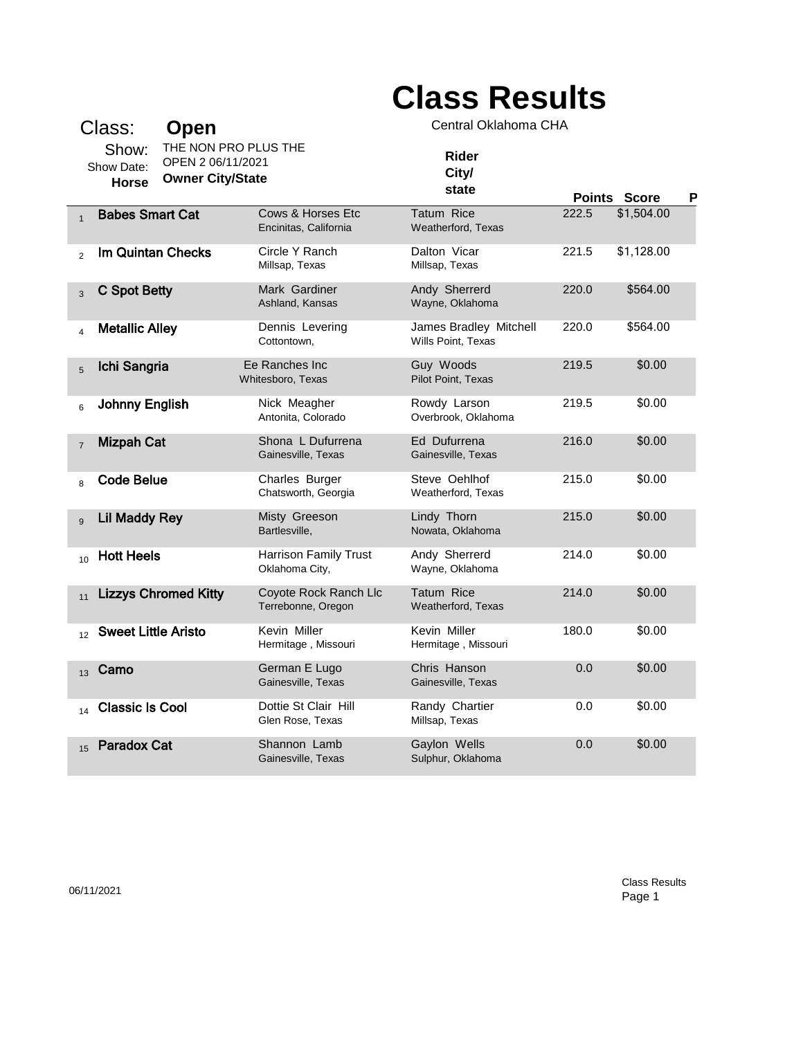## **Class Results**

Central Oklahoma CHA

| Class:<br>Open                             | THE NON PRO PLUS THE                           | Central Oklahoma CHA                           |                          |            |  |
|--------------------------------------------|------------------------------------------------|------------------------------------------------|--------------------------|------------|--|
| Show:<br>OPEN 2 06/11/2021<br>Show Date:   |                                                | <b>Rider</b><br>City/<br>state                 |                          |            |  |
| <b>Owner City/State</b><br><b>Horse</b>    |                                                |                                                | <b>Points Score</b><br>P |            |  |
| <b>Babes Smart Cat</b><br>$\overline{1}$   | Cows & Horses Etc<br>Encinitas, California     | <b>Tatum Rice</b><br><b>Weatherford, Texas</b> | 222.5                    | \$1,504.00 |  |
| <b>Im Quintan Checks</b><br>$\overline{2}$ | Circle Y Ranch<br>Millsap, Texas               | Dalton Vicar<br>Millsap, Texas                 | 221.5                    | \$1,128.00 |  |
| C Spot Betty<br>3                          | Mark Gardiner<br>Ashland, Kansas               | Andy Sherrerd<br>Wayne, Oklahoma               | 220.0                    | \$564.00   |  |
| <b>Metallic Alley</b><br>$\overline{4}$    | Dennis Levering<br>Cottontown,                 | James Bradley Mitchell<br>Wills Point, Texas   | 220.0                    | \$564.00   |  |
| Ichi Sangria<br>$\overline{5}$             | Ee Ranches Inc<br>Whitesboro, Texas            | Guy Woods<br>Pilot Point, Texas                | 219.5                    | \$0.00     |  |
| <b>Johnny English</b><br>6                 | Nick Meagher<br>Antonita, Colorado             | Rowdy Larson<br>Overbrook, Oklahoma            | 219.5                    | \$0.00     |  |
| <b>Mizpah Cat</b><br>$\overline{7}$        | Shona L Dufurrena<br>Gainesville, Texas        | Ed Dufurrena<br>Gainesville, Texas             | 216.0                    | \$0.00     |  |
| <b>Code Belue</b><br>8                     | Charles Burger<br>Chatsworth, Georgia          | Steve Oehlhof<br>Weatherford, Texas            | 215.0                    | \$0.00     |  |
| <b>Lil Maddy Rey</b><br>$\overline{9}$     | Misty Greeson<br>Bartlesville,                 | Lindy Thorn<br>Nowata, Oklahoma                | 215.0                    | \$0.00     |  |
| <b>Hott Heels</b><br>10                    | <b>Harrison Family Trust</b><br>Oklahoma City, | Andy Sherrerd<br>Wayne, Oklahoma               | 214.0                    | \$0.00     |  |
| <b>Lizzys Chromed Kitty</b><br>11          | Coyote Rock Ranch Llc<br>Terrebonne, Oregon    | <b>Tatum Rice</b><br>Weatherford, Texas        | 214.0                    | \$0.00     |  |
| <b>Sweet Little Aristo</b><br>12           | Kevin Miller<br>Hermitage, Missouri            | Kevin Miller<br>Hermitage, Missouri            | 180.0                    | \$0.00     |  |
| Camo<br>13                                 | German E Lugo<br>Gainesville, Texas            | Chris Hanson<br>Gainesville, Texas             | 0.0                      | \$0.00     |  |
| <b>Classic Is Cool</b><br>14               | Dottie St Clair Hill<br>Glen Rose, Texas       | Randy Chartier<br>Millsap, Texas               | 0.0                      | \$0.00     |  |
| <b>Paradox Cat</b><br>15                   | Shannon Lamb<br>Gainesville, Texas             | Gaylon Wells<br>Sulphur, Oklahoma              | 0.0                      | \$0.00     |  |